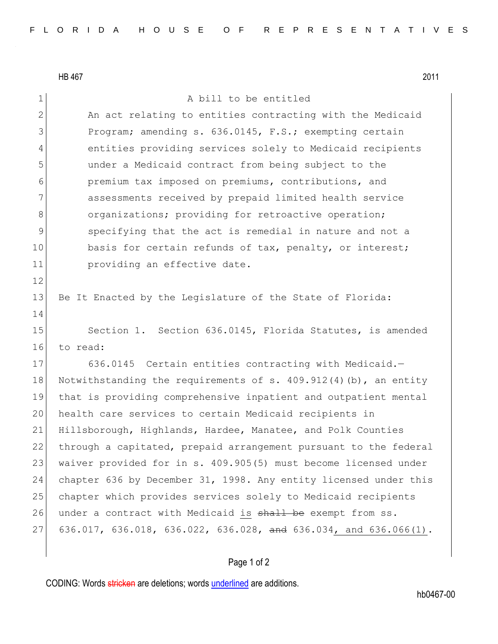HB 467 2011

| $\mathbf 1$ | A bill to be entitled                                              |
|-------------|--------------------------------------------------------------------|
| 2           | An act relating to entities contracting with the Medicaid          |
| 3           | Program; amending s. 636.0145, F.S.; exempting certain             |
| 4           | entities providing services solely to Medicaid recipients          |
| 5           | under a Medicaid contract from being subject to the                |
| 6           | premium tax imposed on premiums, contributions, and                |
| 7           | assessments received by prepaid limited health service             |
| 8           | organizations; providing for retroactive operation;                |
| 9           | specifying that the act is remedial in nature and not a            |
| 10          | basis for certain refunds of tax, penalty, or interest;            |
| 11          | providing an effective date.                                       |
| 12          |                                                                    |
| 13          | Be It Enacted by the Legislature of the State of Florida:          |
| 14          |                                                                    |
| 15          | Section 1. Section 636.0145, Florida Statutes, is amended          |
| 16          | to read:                                                           |
| 17          | 636.0145 Certain entities contracting with Medicaid.-              |
| 18          | Notwithstanding the requirements of s. $409.912(4)$ (b), an entity |
| 19          | that is providing comprehensive inpatient and outpatient mental    |
| 20          | health care services to certain Medicaid recipients in             |
| 21          | Hillsborough, Highlands, Hardee, Manatee, and Polk Counties        |
| 22          | through a capitated, prepaid arrangement pursuant to the federal   |
| 23          | waiver provided for in s. 409.905(5) must become licensed under    |
| 24          | chapter 636 by December 31, 1998. Any entity licensed under this   |
| 25          | chapter which provides services solely to Medicaid recipients      |
| 26          | under a contract with Medicaid is shall be exempt from ss.         |
| 27          | 636.017, 636.018, 636.022, 636.028, and 636.034, and 636.066(1).   |

## Page 1 of 2

CODING: Words stricken are deletions; words underlined are additions.